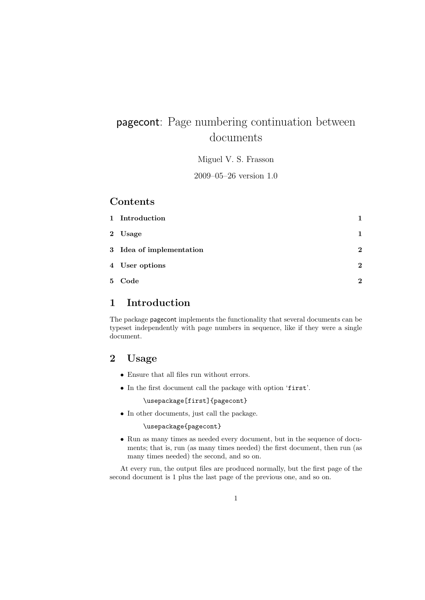# pagecont: Page numbering continuation between documents

Miguel V. S. Frasson

2009–05–26 version 1.0

#### Contents

| 1 Introduction           |              |
|--------------------------|--------------|
| 2 Usage                  | 1            |
| 3 Idea of implementation | $\mathbf{2}$ |
| 4 User options           | $\mathbf{2}$ |
| 5 Code                   | 2            |

### 1 Introduction

The package pagecont implements the functionality that several documents can be typeset independently with page numbers in sequence, like if they were a single document.

### 2 Usage

- Ensure that all files run without errors.
- In the first document call the package with option 'first'.

\usepackage[first]{pagecont}

• In other documents, just call the package.

\usepackage{pagecont}

• Run as many times as needed every document, but in the sequence of documents; that is, run (as many times needed) the first document, then run (as many times needed) the second, and so on.

At every run, the output files are produced normally, but the first page of the second document is 1 plus the last page of the previous one, and so on.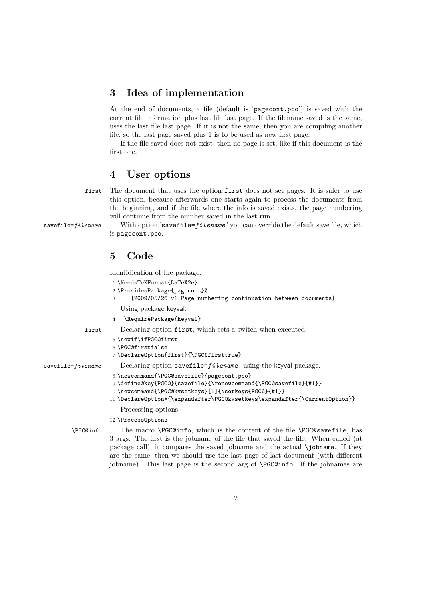# 3 Idea of implementation

At the end of documents, a file (default is 'pagecont.pco') is saved with the current file information plus last file last page. If the filename saved is the same, uses the last file last page. If it is not the same, then you are compiling another file, so the last page saved plus 1 is to be used as new first page.

If the file saved does not exist, then no page is set, like if this document is the first one.

#### 4 User options

first The document that uses the option first does not set pages. It is safer to use this option, because afterwards one starts again to process the documents from the beginning, and if the file where the info is saved exists, the page numbering will continue from the number saved in the last run.

savefile= $file$ ilename With option 'savefile= $file$ ame' you can override the default save file, which is pagecont.pco.

# 5 Code

Identidication of the package.

```
1 \NeedsTeXFormat{LaTeX2e}
                    2 \ProvidesPackage{pagecont}%
                    3 [2009/05/26 v1 Page numbering continuation between documents]
                       Using package keyval.
                    4 \RequirePackage{keyval}
            first Declaring option first, which sets a switch when executed.
                    5 \newif\ifPGC@first
                    6 \PGC@firstfalse
                    7 \DeclareOption{first}{\PGC@firsttrue}
savefile=fileilename Declaring option savefile=filename, using the keyval package.
                    8 \newcommand{\PGC@savefile}{pagecont.pco}
                    9 \define@key{PGC@}{savefile}{\renewcommand{\PGC@savefile}{#1}}
                    10 \newcommand{\PGC@kvsetkeys}[1]{\setkeys{PGC@}{#1}}
                    11 \DeclareOption*{\expandafter\PGC@kvsetkeys\expandafter{\CurrentOption}}
                       Processing options.
                    12 \ProcessOptions
        \PGC@info The macro \PGC@info, which is the content of the file \PGC@savefile, has
                   3 args. The first is the jobname of the file that saved the file. When called (at
                   package call), it compares the saved jobname and the actual \jobname. If they
```
are the same, then we should use the last page of last document (with different jobname). This last page is the second arg of \PGC@info. If the jobnames are

2